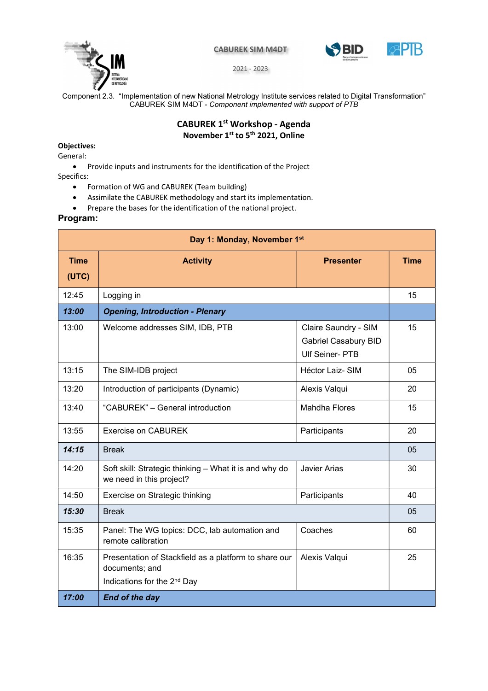



2021 - 2023

Component 2.3. "Implementation of new National Metrology Institute services related to Digital Transformation" CABUREK SIM M4DT - Component implemented with support of PTB

# CABUREK 1st Workshop - Agenda November 1<sup>st</sup> to 5<sup>th</sup> 2021, Online

### Objectives:

General:

Provide inputs and instruments for the identification of the Project

Specifics:

- Formation of WG and CABUREK (Team building)
- Assimilate the CABUREK methodology and start its implementation.
- Prepare the bases for the identification of the national project.

### Program:

| Day 1: Monday, November 1st |                                                                                                                    |                                                                               |             |  |  |
|-----------------------------|--------------------------------------------------------------------------------------------------------------------|-------------------------------------------------------------------------------|-------------|--|--|
| <b>Time</b><br>(UTC)        | <b>Activity</b>                                                                                                    | <b>Presenter</b>                                                              | <b>Time</b> |  |  |
| 12:45                       | Logging in                                                                                                         |                                                                               | 15          |  |  |
| 13:00                       | <b>Opening, Introduction - Plenary</b>                                                                             |                                                                               |             |  |  |
| 13:00                       | Welcome addresses SIM, IDB, PTB                                                                                    | Claire Saundry - SIM<br><b>Gabriel Casabury BID</b><br><b>Ulf Seiner- PTB</b> | 15          |  |  |
| 13:15                       | The SIM-IDB project                                                                                                | <b>Héctor Laiz-SIM</b>                                                        | 05          |  |  |
| 13:20                       | Introduction of participants (Dynamic)                                                                             | Alexis Valqui                                                                 | 20          |  |  |
| 13:40                       | "CABUREK" - General introduction                                                                                   | <b>Mahdha Flores</b>                                                          | 15          |  |  |
| 13:55                       | <b>Exercise on CABUREK</b>                                                                                         | Participants                                                                  | 20          |  |  |
| 14:15                       | <b>Break</b>                                                                                                       |                                                                               |             |  |  |
| 14:20                       | Soft skill: Strategic thinking - What it is and why do<br>we need in this project?                                 | <b>Javier Arias</b>                                                           | 30          |  |  |
| 14:50                       | Exercise on Strategic thinking                                                                                     | Participants                                                                  | 40          |  |  |
| 15:30                       | <b>Break</b>                                                                                                       |                                                                               |             |  |  |
| 15:35                       | Panel: The WG topics: DCC, lab automation and<br>remote calibration                                                | Coaches                                                                       | 60          |  |  |
| 16:35                       | Presentation of Stackfield as a platform to share our<br>documents; and<br>Indications for the 2 <sup>nd</sup> Day | Alexis Valqui                                                                 | 25          |  |  |
| 17:00                       | <b>End of the day</b>                                                                                              |                                                                               |             |  |  |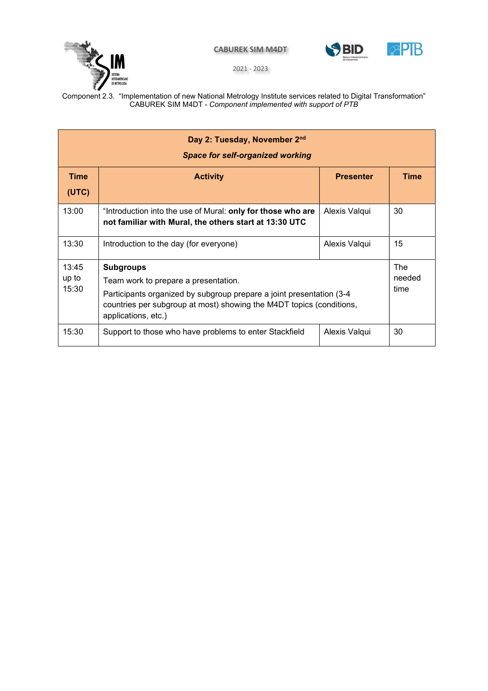



2021 - 2023

| Day 2: Tuesday, November 2nd<br><b>Space for self-organized working</b>                                                                                                                                                                                    |                                                                                                                       |                  |                              |  |  |
|------------------------------------------------------------------------------------------------------------------------------------------------------------------------------------------------------------------------------------------------------------|-----------------------------------------------------------------------------------------------------------------------|------------------|------------------------------|--|--|
| <b>Time</b><br>(UTC)                                                                                                                                                                                                                                       | <b>Activity</b>                                                                                                       | <b>Presenter</b> | <b>Time</b>                  |  |  |
| 13:00                                                                                                                                                                                                                                                      | "Introduction into the use of Mural: only for those who are<br>not familiar with Mural, the others start at 13:30 UTC | Alexis Valqui    | 30                           |  |  |
| 13:30                                                                                                                                                                                                                                                      | Introduction to the day (for everyone)                                                                                | Alexis Valqui    | 15                           |  |  |
| 13:45<br><b>Subgroups</b><br>up to<br>Team work to prepare a presentation.<br>15:30<br>Participants organized by subgroup prepare a joint presentation (3-4<br>countries per subgroup at most) showing the M4DT topics (conditions,<br>applications, etc.) |                                                                                                                       |                  | <b>The</b><br>needed<br>time |  |  |
| 15:30                                                                                                                                                                                                                                                      | Support to those who have problems to enter Stackfield                                                                |                  | 30                           |  |  |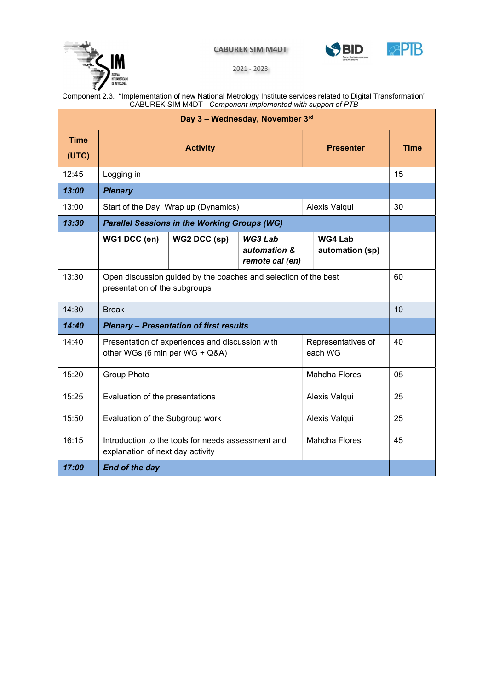





2021 - 2023

| Day 3 - Wednesday, November 3rd |                                                                                                  |              |                                            |                               |                            |    |  |  |
|---------------------------------|--------------------------------------------------------------------------------------------------|--------------|--------------------------------------------|-------------------------------|----------------------------|----|--|--|
| <b>Time</b><br>(UTC)            | <b>Activity</b>                                                                                  |              |                                            | <b>Presenter</b>              | <b>Time</b>                |    |  |  |
| 12:45                           | Logging in                                                                                       |              |                                            |                               | 15                         |    |  |  |
| 13:00                           | <b>Plenary</b>                                                                                   |              |                                            |                               |                            |    |  |  |
| 13:00                           | Start of the Day: Wrap up (Dynamics)                                                             |              |                                            | Alexis Valqui                 | 30                         |    |  |  |
| 13:30                           | <b>Parallel Sessions in the Working Groups (WG)</b>                                              |              |                                            |                               |                            |    |  |  |
|                                 | WG1 DCC (en)                                                                                     | WG2 DCC (sp) | WG3 Lab<br>automation &<br>remote cal (en) |                               | WG4 Lab<br>automation (sp) |    |  |  |
| 13:30                           | Open discussion guided by the coaches and selection of the best<br>presentation of the subgroups |              |                                            |                               | 60                         |    |  |  |
| 14:30                           | <b>Break</b>                                                                                     |              |                                            |                               | 10                         |    |  |  |
| 14:40                           | <b>Plenary - Presentation of first results</b>                                                   |              |                                            |                               |                            |    |  |  |
| 14:40                           | Presentation of experiences and discussion with<br>other WGs (6 min per WG + Q&A)                |              |                                            | Representatives of<br>each WG | 40                         |    |  |  |
| 15:20                           | <b>Group Photo</b>                                                                               |              |                                            |                               | <b>Mahdha Flores</b>       | 05 |  |  |
| 15:25                           | Evaluation of the presentations                                                                  |              |                                            | Alexis Valqui                 | 25                         |    |  |  |
| 15:50                           | Evaluation of the Subgroup work                                                                  |              |                                            | Alexis Valqui                 | 25                         |    |  |  |
| 16:15                           | Introduction to the tools for needs assessment and<br>explanation of next day activity           |              |                                            | <b>Mahdha Flores</b>          | 45                         |    |  |  |
| 17:00                           | <b>End of the day</b>                                                                            |              |                                            |                               |                            |    |  |  |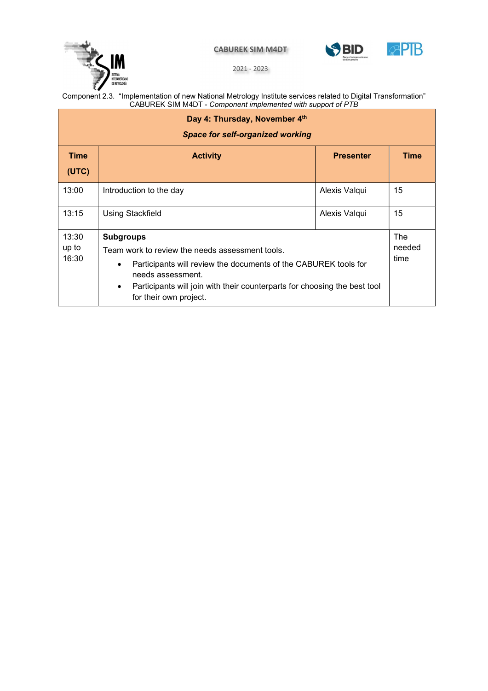



**APTB** 

2021 - 2023

| Day 4: Thursday, November 4th<br><b>Space for self-organized working</b> |                                                                                                                                                                                                                                                                                              |                  |             |  |  |
|--------------------------------------------------------------------------|----------------------------------------------------------------------------------------------------------------------------------------------------------------------------------------------------------------------------------------------------------------------------------------------|------------------|-------------|--|--|
| <b>Time</b><br>(UTC)                                                     | <b>Activity</b>                                                                                                                                                                                                                                                                              | <b>Presenter</b> | <b>Time</b> |  |  |
| 13:00                                                                    | Introduction to the day                                                                                                                                                                                                                                                                      | Alexis Valqui    | 15          |  |  |
| 13:15                                                                    | <b>Using Stackfield</b>                                                                                                                                                                                                                                                                      | Alexis Valqui    | 15          |  |  |
| 13:30<br>up to<br>16:30                                                  | <b>Subgroups</b><br>Team work to review the needs assessment tools.<br>Participants will review the documents of the CABUREK tools for<br>$\bullet$<br>needs assessment.<br>Participants will join with their counterparts for choosing the best tool<br>$\bullet$<br>for their own project. |                  |             |  |  |